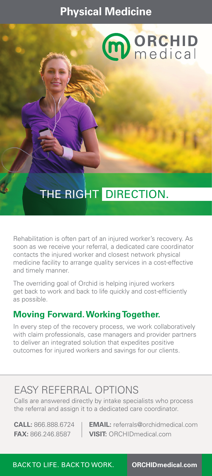## **Physical Medicine**



# THE RIGHT DIRECTION.

Rehabilitation is often part of an injured worker's recovery. As soon as we receive your referral, a dedicated care coordinator contacts the injured worker and closest network physical medicine facility to arrange quality services in a cost-effective and timely manner.

The overriding goal of Orchid is helping injured workers get back to work and back to life quickly and cost-efficiently as possible.

### **Moving Forward. Working Together.**

In every step of the recovery process, we work collaboratively with claim professionals, case managers and provider partners to deliver an integrated solution that expedites positive outcomes for injured workers and savings for our clients.

## EASY REFERRAL OPTIONS

Calls are answered directly by intake specialists who process the referral and assign it to a dedicated care coordinator.

**CALL:** 866.888.6724 **EMAIL:** referrals@orchidmedical.com **FAX:** 866.246.8587 **VISIT:** ORCHIDmedical.com

BACK TO LIFE. BACK TO WORK. **ORCHIDmedical.com**